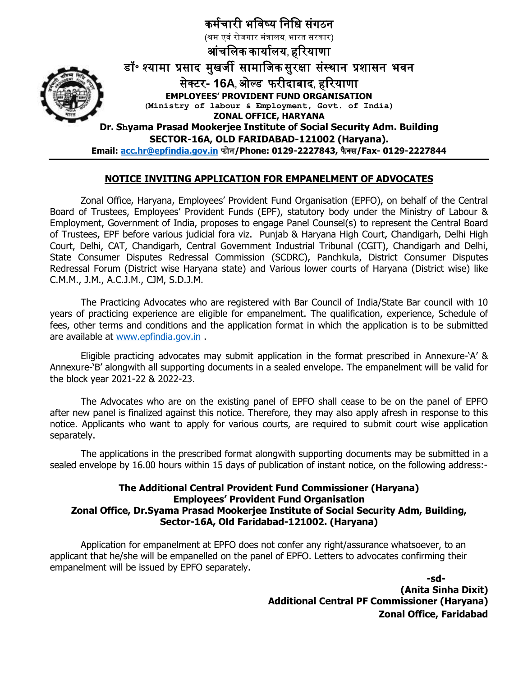

#### **NOTICE INVITING APPLICATION FOR EMPANELMENT OF ADVOCATES**

Zonal Office, Haryana, Employees' Provident Fund Organisation (EPFO), on behalf of the Central Board of Trustees, Employees' Provident Funds (EPF), statutory body under the Ministry of Labour & Employment, Government of India, proposes to engage Panel Counsel(s) to represent the Central Board of Trustees, EPF before various judicial fora viz. Punjab & Haryana High Court, Chandigarh, Delhi High Court, Delhi, CAT, Chandigarh, Central Government Industrial Tribunal (CGIT), Chandigarh and Delhi, State Consumer Disputes Redressal Commission (SCDRC), Panchkula, District Consumer Disputes Redressal Forum (District wise Haryana state) and Various lower courts of Haryana (District wise) like C.M.M., J.M., A.C.J.M., CJM, S.D.J.M.

The Practicing Advocates who are registered with Bar Council of India/State Bar council with 10 years of practicing experience are eligible for empanelment. The qualification, experience, Schedule of fees, other terms and conditions and the application format in which the application is to be submitted are available at [www.epfindia.gov.in](http://www.epfindia.gov.in/) .

Eligible practicing advocates may submit application in the format prescribed in Annexure-'A' & Annexure-'B' alongwith all supporting documents in a sealed envelope. The empanelment will be valid for the block year 2021-22 & 2022-23.

The Advocates who are on the existing panel of EPFO shall cease to be on the panel of EPFO after new panel is finalized against this notice. Therefore, they may also apply afresh in response to this notice. Applicants who want to apply for various courts, are required to submit court wise application separately.

The applications in the prescribed format alongwith supporting documents may be submitted in a sealed envelope by 16.00 hours within 15 days of publication of instant notice, on the following address:-

#### **The Additional Central Provident Fund Commissioner (Haryana) Employees' Provident Fund Organisation Zonal Office, Dr.Syama Prasad Mookerjee Institute of Social Security Adm, Building, Sector-16A, Old Faridabad-121002. (Haryana)**

Application for empanelment at EPFO does not confer any right/assurance whatsoever, to an applicant that he/she will be empanelled on the panel of EPFO. Letters to advocates confirming their empanelment will be issued by EPFO separately.

> **-sd- (Anita Sinha Dixit) Additional Central PF Commissioner (Haryana) Zonal Office, Faridabad**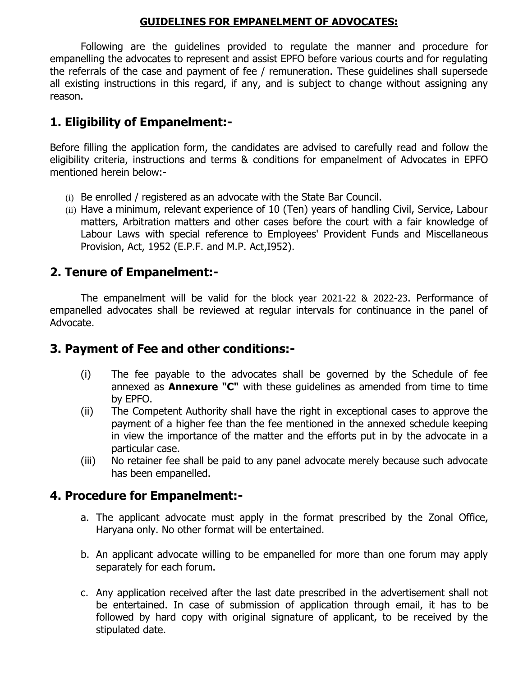#### **GUIDELINES FOR EMPANELMENT OF ADVOCATES:**

Following are the guidelines provided to regulate the manner and procedure for empanelling the advocates to represent and assist EPFO before various courts and for regulating the referrals of the case and payment of fee / remuneration. These guidelines shall supersede all existing instructions in this regard, if any, and is subject to change without assigning any reason.

# **1. Eligibility of Empanelment:-**

Before filling the application form, the candidates are advised to carefully read and follow the eligibility criteria, instructions and terms & conditions for empanelment of Advocates in EPFO mentioned herein below:-

- (i) Be enrolled / registered as an advocate with the State Bar Council.
- (ii) Have a minimum, relevant experience of 10 (Ten) years of handling Civil, Service, Labour matters, Arbitration matters and other cases before the court with a fair knowledge of Labour Laws with special reference to Employees' Provident Funds and Miscellaneous Provision, Act, 1952 (E.P.F. and M.P. Act,I952).

# **2. Tenure of Empanelment:-**

The empanelment will be valid for the block year 2021-22 & 2022-23. Performance of empanelled advocates shall be reviewed at regular intervals for continuance in the panel of Advocate.

# **3. Payment of Fee and other conditions:-**

- (i) The fee payable to the advocates shall be governed by the Schedule of fee annexed as **Annexure "C"** with these guidelines as amended from time to time by EPFO.
- (ii) The Competent Authority shall have the right in exceptional cases to approve the payment of a higher fee than the fee mentioned in the annexed schedule keeping in view the importance of the matter and the efforts put in by the advocate in a particular case.
- (iii) No retainer fee shall be paid to any panel advocate merely because such advocate has been empanelled.

# **4. Procedure for Empanelment:-**

- a. The applicant advocate must apply in the format prescribed by the Zonal Office, Haryana only. No other format will be entertained.
- b. An applicant advocate willing to be empanelled for more than one forum may apply separately for each forum.
- c. Any application received after the last date prescribed in the advertisement shall not be entertained. In case of submission of application through email, it has to be followed by hard copy with original signature of applicant, to be received by the stipulated date.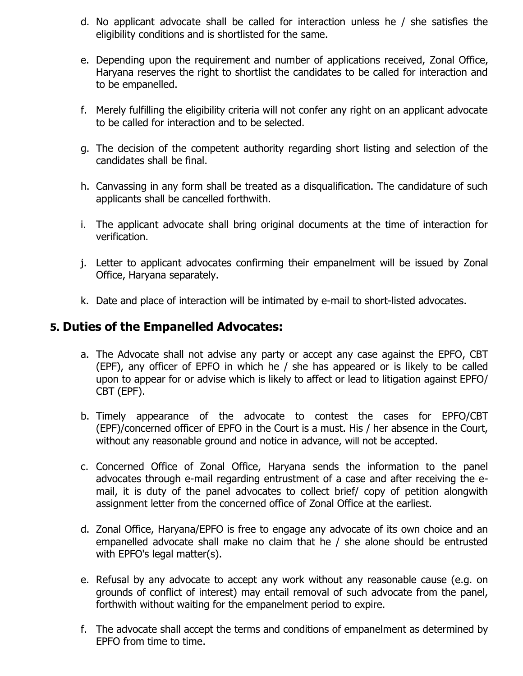- d. No applicant advocate shall be called for interaction unless he / she satisfies the eligibility conditions and is shortlisted for the same.
- e. Depending upon the requirement and number of applications received, Zonal Office, Haryana reserves the right to shortlist the candidates to be called for interaction and to be empanelled.
- f. Merely fulfilling the eligibility criteria will not confer any right on an applicant advocate to be called for interaction and to be selected.
- g. The decision of the competent authority regarding short listing and selection of the candidates shall be final.
- h. Canvassing in any form shall be treated as a disqualification. The candidature of such applicants shall be cancelled forthwith.
- i. The applicant advocate shall bring original documents at the time of interaction for verification.
- j. Letter to applicant advocates confirming their empanelment will be issued by Zonal Office, Haryana separately.
- k. Date and place of interaction will be intimated by e-mail to short-listed advocates.

## **5. Duties of the Empanelled Advocates:**

- a. The Advocate shall not advise any party or accept any case against the EPFO, CBT (EPF), any officer of EPFO in which he / she has appeared or is likely to be called upon to appear for or advise which is likely to affect or lead to litigation against EPFO/ CBT (EPF).
- b. Timely appearance of the advocate to contest the cases for EPFO/CBT (EPF)/concerned officer of EPFO in the Court is a must. His / her absence in the Court, without any reasonable ground and notice in advance, will not be accepted.
- c. Concerned Office of Zonal Office, Haryana sends the information to the panel advocates through e-mail regarding entrustment of a case and after receiving the email, it is duty of the panel advocates to collect brief/ copy of petition alongwith assignment letter from the concerned office of Zonal Office at the earliest.
- d. Zonal Office, Haryana/EPFO is free to engage any advocate of its own choice and an empanelled advocate shall make no claim that he / she alone should be entrusted with EPFO's legal matter(s).
- e. Refusal by any advocate to accept any work without any reasonable cause (e.g. on grounds of conflict of interest) may entail removal of such advocate from the panel, forthwith without waiting for the empanelment period to expire.
- f. The advocate shall accept the terms and conditions of empanelment as determined by EPFO from time to time.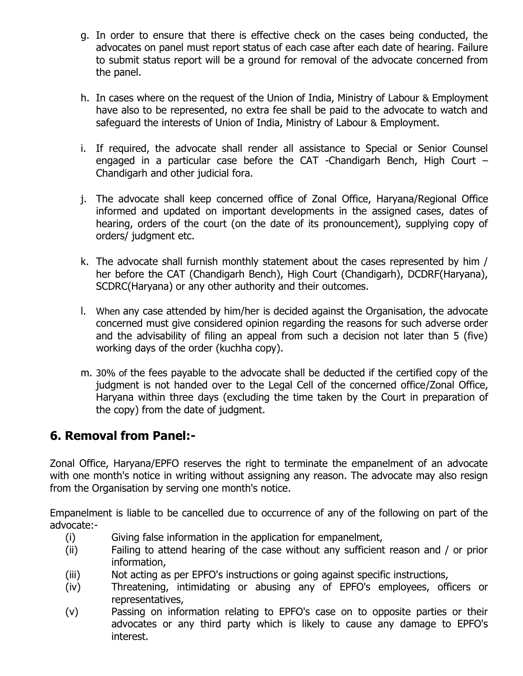- g. In order to ensure that there is effective check on the cases being conducted, the advocates on panel must report status of each case after each date of hearing. Failure to submit status report will be a ground for removal of the advocate concerned from the panel.
- h. In cases where on the request of the Union of India, Ministry of Labour & Employment have also to be represented, no extra fee shall be paid to the advocate to watch and safeguard the interests of Union of India, Ministry of Labour & Employment.
- i. If required, the advocate shall render all assistance to Special or Senior Counsel engaged in a particular case before the CAT -Chandigarh Bench, High Court – Chandigarh and other judicial fora.
- j. The advocate shall keep concerned office of Zonal Office, Haryana/Regional Office informed and updated on important developments in the assigned cases, dates of hearing, orders of the court (on the date of its pronouncement), supplying copy of orders/ judgment etc.
- k. The advocate shall furnish monthly statement about the cases represented by him / her before the CAT (Chandigarh Bench), High Court (Chandigarh), DCDRF(Haryana), SCDRC(Haryana) or any other authority and their outcomes.
- l. When any case attended by him/her is decided against the Organisation, the advocate concerned must give considered opinion regarding the reasons for such adverse order and the advisability of filing an appeal from such a decision not later than 5 (five) working days of the order (kuchha copy).
- m. 30% of the fees payable to the advocate shall be deducted if the certified copy of the judgment is not handed over to the Legal Cell of the concerned office/Zonal Office, Haryana within three days (excluding the time taken by the Court in preparation of the copy) from the date of judgment.

# **6. Removal from Panel:-**

Zonal Office, Haryana/EPFO reserves the right to terminate the empanelment of an advocate with one month's notice in writing without assigning any reason. The advocate may also resign from the Organisation by serving one month's notice.

Empanelment is liable to be cancelled due to occurrence of any of the following on part of the advocate:-

- (i) Giving false information in the application for empanelment,
- (ii) Failing to attend hearing of the case without any sufficient reason and / or prior information,
- (iii) Not acting as per EPFO's instructions or going against specific instructions,
- (iv) Threatening, intimidating or abusing any of EPFO's employees, officers or representatives,
- (v) Passing on information relating to EPFO's case on to opposite parties or their advocates or any third party which is likely to cause any damage to EPFO's interest.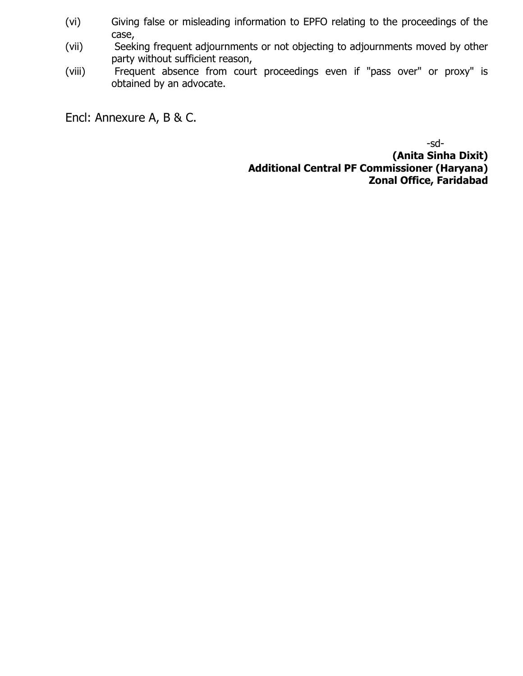- (vi) Giving false or misleading information to EPFO relating to the proceedings of the case,
- (vii) Seeking frequent adjournments or not objecting to adjournments moved by other party without sufficient reason,
- (viii) Frequent absence from court proceedings even if "pass over" or proxy" is obtained by an advocate.

Encl: Annexure A, B & C.

-sd- **(Anita Sinha Dixit) Additional Central PF Commissioner (Haryana) Zonal Office, Faridabad**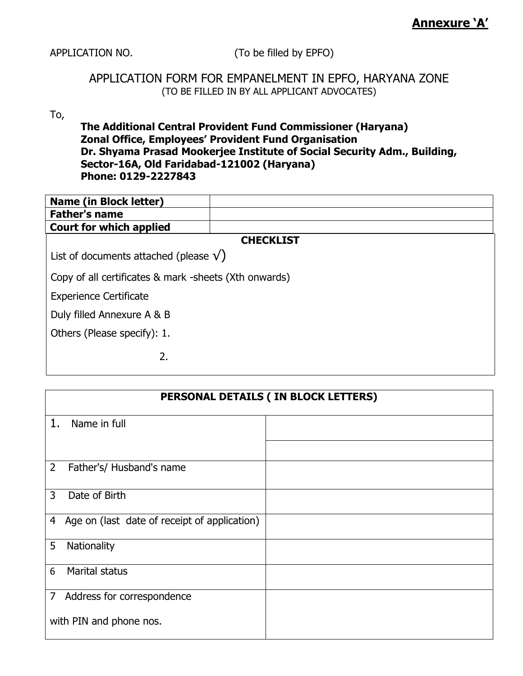APPLICATION NO. (To be filled by EPFO)

### APPLICATION FORM FOR EMPANELMENT IN EPFO, HARYANA ZONE (TO BE FILLED IN BY ALL APPLICANT ADVOCATES)

### To,

#### **The Additional Central Provident Fund Commissioner (Haryana) Zonal Office, Employees' Provident Fund Organisation Dr. Shyama Prasad Mookerjee Institute of Social Security Adm., Building, Sector-16A, Old Faridabad-121002 (Haryana) Phone: 0129-2227843**

| <b>Name (in Block letter)</b>                  |                                                       |  |  |
|------------------------------------------------|-------------------------------------------------------|--|--|
| <b>Father's name</b>                           |                                                       |  |  |
| <b>Court for which applied</b>                 |                                                       |  |  |
|                                                | <b>CHECKLIST</b>                                      |  |  |
| List of documents attached (please $\sqrt{}$ ) |                                                       |  |  |
|                                                | Copy of all certificates & mark -sheets (Xth onwards) |  |  |
| <b>Experience Certificate</b>                  |                                                       |  |  |
| Duly filled Annexure A & B                     |                                                       |  |  |
| Others (Please specify): 1.                    |                                                       |  |  |
| 2.                                             |                                                       |  |  |

| PERSONAL DETAILS ( IN BLOCK LETTERS)              |  |  |
|---------------------------------------------------|--|--|
| 1.<br>Name in full                                |  |  |
|                                                   |  |  |
| $\overline{2}$<br>Father's/ Husband's name        |  |  |
| 3<br>Date of Birth                                |  |  |
| Age on (last date of receipt of application)<br>4 |  |  |
| 5<br>Nationality                                  |  |  |
| Marital status<br>6                               |  |  |
| Address for correspondence<br>7                   |  |  |
| with PIN and phone nos.                           |  |  |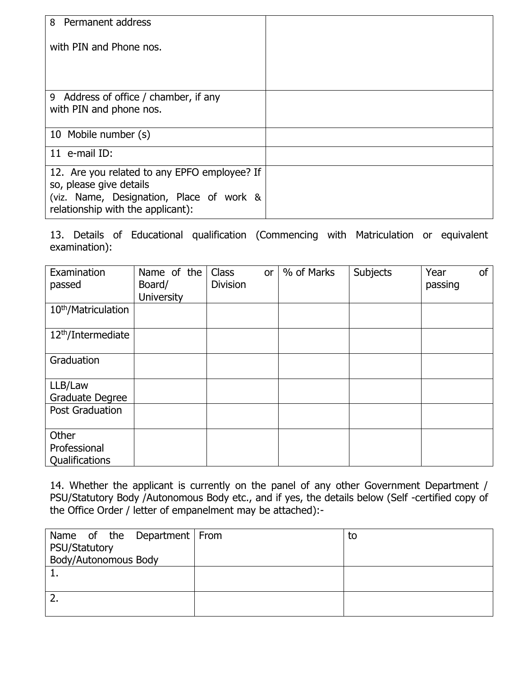| 8 Permanent address                                                                                                                                      |  |
|----------------------------------------------------------------------------------------------------------------------------------------------------------|--|
| with PIN and Phone nos.                                                                                                                                  |  |
| 9 Address of office / chamber, if any<br>with PIN and phone nos.                                                                                         |  |
| 10 Mobile number (s)                                                                                                                                     |  |
| 11 e-mail ID:                                                                                                                                            |  |
| 12. Are you related to any EPFO employee? If<br>so, please give details<br>(viz. Name, Designation, Place of work &<br>relationship with the applicant): |  |

13. Details of Educational qualification (Commencing with Matriculation or equivalent examination):

| Examination<br>passed                   | Name of the<br>Board/<br><b>University</b> | <b>Class</b><br>or<br><b>Division</b> | % of Marks | Subjects | <b>of</b><br>Year<br>passing |
|-----------------------------------------|--------------------------------------------|---------------------------------------|------------|----------|------------------------------|
| 10 <sup>th</sup> /Matriculation         |                                            |                                       |            |          |                              |
| 12 <sup>th</sup> /Intermediate          |                                            |                                       |            |          |                              |
| Graduation                              |                                            |                                       |            |          |                              |
| LLB/Law<br>Graduate Degree              |                                            |                                       |            |          |                              |
| <b>Post Graduation</b>                  |                                            |                                       |            |          |                              |
| Other<br>Professional<br>Qualifications |                                            |                                       |            |          |                              |

14. Whether the applicant is currently on the panel of any other Government Department / PSU/Statutory Body /Autonomous Body etc., and if yes, the details below (Self -certified copy of the Office Order / letter of empanelment may be attached):-

| Name of the Department   From | to |
|-------------------------------|----|
| PSU/Statutory                 |    |
| Body/Autonomous Body          |    |
| <b>.</b>                      |    |
|                               |    |
|                               |    |
|                               |    |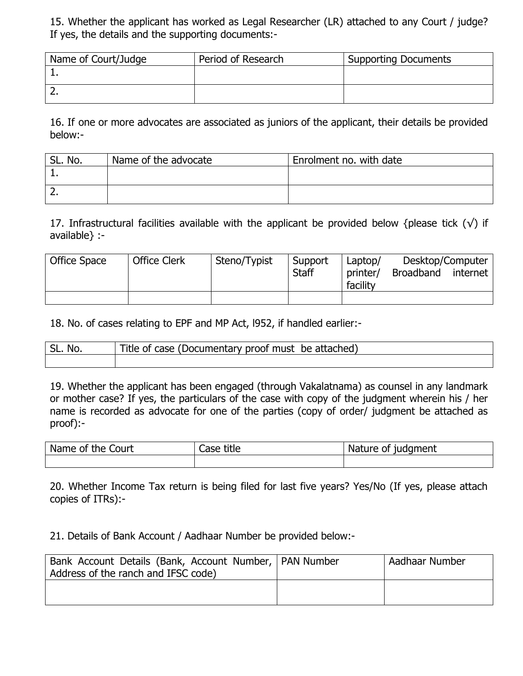15. Whether the applicant has worked as Legal Researcher (LR) attached to any Court / judge? If yes, the details and the supporting documents:-

| Name of Court/Judge | Period of Research | <b>Supporting Documents</b> |
|---------------------|--------------------|-----------------------------|
|                     |                    |                             |
|                     |                    |                             |

16. If one or more advocates are associated as juniors of the applicant, their details be provided below:-

| No. | Name of the advocate | Enrolment no. with date |
|-----|----------------------|-------------------------|
|     |                      |                         |
|     |                      |                         |

17. Infrastructural facilities available with the applicant be provided below {please tick  $(\sqrt)$  if available} :-

| Office Space | <b>Office Clerk</b> | Steno/Typist | Support<br><b>Staff</b> | Laptop/<br>printer/<br>facility | Desktop/Computer<br>Broadband | internet |
|--------------|---------------------|--------------|-------------------------|---------------------------------|-------------------------------|----------|
|              |                     |              |                         |                                 |                               |          |

18. No. of cases relating to EPF and MP Act, l952, if handled earlier:-

| SL. No. | Title of case (Documentary proof must be attached) |
|---------|----------------------------------------------------|
|         |                                                    |

19. Whether the applicant has been engaged (through Vakalatnama) as counsel in any landmark or mother case? If yes, the particulars of the case with copy of the judgment wherein his / her name is recorded as advocate for one of the parties (copy of order/ judgment be attached as proof):-

| Name<br>.<br>Court<br>title<br>the.<br>Case<br>ot |  | <b>Nature</b><br><b>udament</b><br>-of |  |
|---------------------------------------------------|--|----------------------------------------|--|
|                                                   |  |                                        |  |

20. Whether Income Tax return is being filed for last five years? Yes/No (If yes, please attach copies of ITRs):-

21. Details of Bank Account / Aadhaar Number be provided below:-

| Bank Account Details (Bank, Account Number,   PAN Number<br>Address of the ranch and IFSC code) | Aadhaar Number |
|-------------------------------------------------------------------------------------------------|----------------|
|                                                                                                 |                |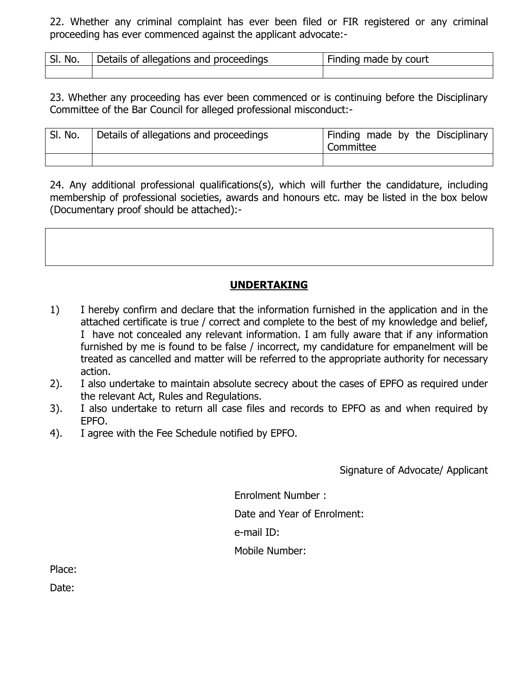22. Whether any criminal complaint has ever been filed or FIR registered or any criminal proceeding has ever commenced against the applicant advocate:-

| SI.<br>No. | Details of allegations and proceedings | Finding made by court |
|------------|----------------------------------------|-----------------------|
|            |                                        |                       |

23. Whether any proceeding has ever been commenced or is continuing before the Disciplinary Committee of the Bar Council for alleged professional misconduct:-

| SI. No. | Details of allegations and proceedings | Finding made by the Disciplinary<br>Committee |
|---------|----------------------------------------|-----------------------------------------------|
|         |                                        |                                               |

24. Any additional professional qualifications(s), which will further the candidature, including membership of professional societies, awards and honours etc. may be listed in the box below (Documentary proof should be attached):-

# **UNDERTAKING**

- 1) I hereby confirm and declare that the information furnished in the application and in the attached certificate is true / correct and complete to the best of my knowledge and belief, I have not concealed any relevant information. I am fully aware that if any information furnished by me is found to be false / incorrect, my candidature for empanelment will be treated as cancelled and matter will be referred to the appropriate authority for necessary action.
- 2). I also undertake to maintain absolute secrecy about the cases of EPFO as required under the relevant Act, Rules and Regulations.
- 3). I also undertake to return all case files and records to EPFO as and when required by EPFO.
- 4). I agree with the Fee Schedule notified by EPFO.

Signature of Advocate/ Applicant

 Enrolment Number : Date and Year of Enrolment: e-mail ID: Mobile Number:

Place:

Date: